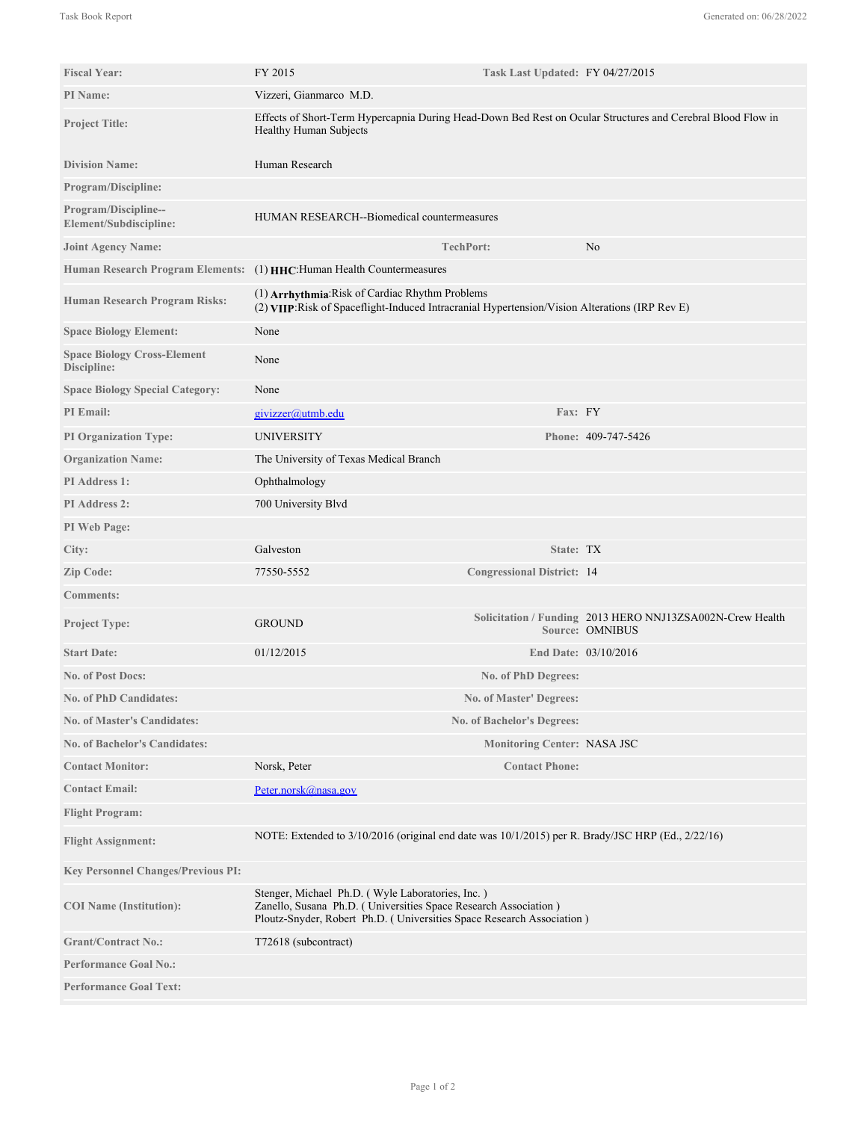| <b>Fiscal Year:</b>                               | FY 2015<br>Task Last Updated: FY 04/27/2015                                                                                                                                                  |                                    |                                                                              |
|---------------------------------------------------|----------------------------------------------------------------------------------------------------------------------------------------------------------------------------------------------|------------------------------------|------------------------------------------------------------------------------|
| <b>PI</b> Name:                                   | Vizzeri, Gianmarco M.D.                                                                                                                                                                      |                                    |                                                                              |
| <b>Project Title:</b>                             | Effects of Short-Term Hypercapnia During Head-Down Bed Rest on Ocular Structures and Cerebral Blood Flow in<br>Healthy Human Subjects                                                        |                                    |                                                                              |
| <b>Division Name:</b>                             | Human Research                                                                                                                                                                               |                                    |                                                                              |
| <b>Program/Discipline:</b>                        |                                                                                                                                                                                              |                                    |                                                                              |
| Program/Discipline--<br>Element/Subdiscipline:    | HUMAN RESEARCH--Biomedical countermeasures                                                                                                                                                   |                                    |                                                                              |
| <b>Joint Agency Name:</b>                         | <b>TechPort:</b>                                                                                                                                                                             |                                    | No                                                                           |
| <b>Human Research Program Elements:</b>           | (1) HHC: Human Health Countermeasures                                                                                                                                                        |                                    |                                                                              |
| <b>Human Research Program Risks:</b>              | (1) Arrhythmia: Risk of Cardiac Rhythm Problems<br>(2) VIIP: Risk of Spaceflight-Induced Intracranial Hypertension/Vision Alterations (IRP Rev E)                                            |                                    |                                                                              |
| <b>Space Biology Element:</b>                     | None                                                                                                                                                                                         |                                    |                                                                              |
| <b>Space Biology Cross-Element</b><br>Discipline: | None                                                                                                                                                                                         |                                    |                                                                              |
| <b>Space Biology Special Category:</b>            | None                                                                                                                                                                                         |                                    |                                                                              |
| <b>PI</b> Email:                                  | givizzer@utmb.edu                                                                                                                                                                            | Fax: FY                            |                                                                              |
| <b>PI Organization Type:</b>                      | <b>UNIVERSITY</b>                                                                                                                                                                            |                                    | Phone: 409-747-5426                                                          |
| <b>Organization Name:</b>                         | The University of Texas Medical Branch                                                                                                                                                       |                                    |                                                                              |
| PI Address 1:                                     | Ophthalmology                                                                                                                                                                                |                                    |                                                                              |
| <b>PI Address 2:</b>                              | 700 University Blvd                                                                                                                                                                          |                                    |                                                                              |
| PI Web Page:                                      |                                                                                                                                                                                              |                                    |                                                                              |
| City:                                             | Galveston                                                                                                                                                                                    | State: TX                          |                                                                              |
| Zip Code:                                         | 77550-5552                                                                                                                                                                                   | <b>Congressional District: 14</b>  |                                                                              |
| <b>Comments:</b>                                  |                                                                                                                                                                                              |                                    |                                                                              |
| <b>Project Type:</b>                              | <b>GROUND</b>                                                                                                                                                                                |                                    | Solicitation / Funding 2013 HERO NNJ13ZSA002N-Crew Health<br>Source: OMNIBUS |
| <b>Start Date:</b>                                | 01/12/2015                                                                                                                                                                                   |                                    | End Date: 03/10/2016                                                         |
| <b>No. of Post Docs:</b>                          |                                                                                                                                                                                              | No. of PhD Degrees:                |                                                                              |
| <b>No. of PhD Candidates:</b>                     |                                                                                                                                                                                              | No. of Master' Degrees:            |                                                                              |
| <b>No. of Master's Candidates:</b>                |                                                                                                                                                                                              | <b>No. of Bachelor's Degrees:</b>  |                                                                              |
| <b>No. of Bachelor's Candidates:</b>              |                                                                                                                                                                                              | <b>Monitoring Center: NASA JSC</b> |                                                                              |
| <b>Contact Monitor:</b>                           | Norsk, Peter                                                                                                                                                                                 | <b>Contact Phone:</b>              |                                                                              |
| <b>Contact Email:</b>                             | Peter.norsk@nasa.gov                                                                                                                                                                         |                                    |                                                                              |
| <b>Flight Program:</b>                            |                                                                                                                                                                                              |                                    |                                                                              |
| <b>Flight Assignment:</b>                         | NOTE: Extended to 3/10/2016 (original end date was 10/1/2015) per R. Brady/JSC HRP (Ed., 2/22/16)                                                                                            |                                    |                                                                              |
| <b>Key Personnel Changes/Previous PI:</b>         |                                                                                                                                                                                              |                                    |                                                                              |
| <b>COI</b> Name (Institution):                    | Stenger, Michael Ph.D. (Wyle Laboratories, Inc.)<br>Zanello, Susana Ph.D. (Universities Space Research Association)<br>Ploutz-Snyder, Robert Ph.D. (Universities Space Research Association) |                                    |                                                                              |
| <b>Grant/Contract No.:</b>                        | T72618 (subcontract)                                                                                                                                                                         |                                    |                                                                              |
| <b>Performance Goal No.:</b>                      |                                                                                                                                                                                              |                                    |                                                                              |
| <b>Performance Goal Text:</b>                     |                                                                                                                                                                                              |                                    |                                                                              |